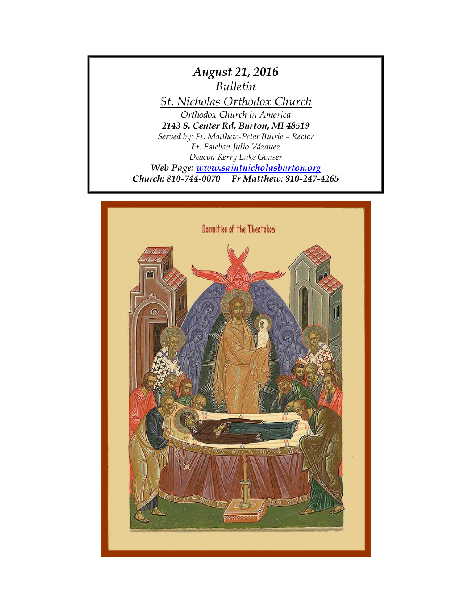

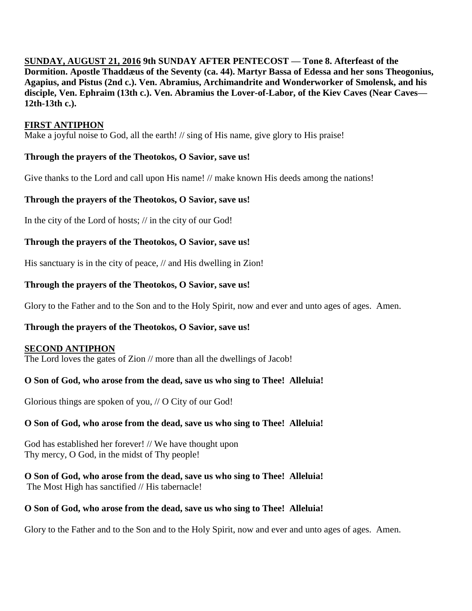**SUNDAY, AUGUST 21, 2016 9th SUNDAY AFTER PENTECOST — Tone 8. Afterfeast of the Dormition. Apostle Thaddæus of the Seventy (ca. 44). Martyr Bassa of Edessa and her sons Theogonius, Agapius, and Pistus (2nd c.). Ven. Abramius, Archimandrite and Wonderworker of Smolensk, and his disciple, Ven. Ephraim (13th c.). Ven. Abramius the Lover-of-Labor, of the Kiev Caves (Near Caves— 12th-13th c.).** 

### **FIRST ANTIPHON**

Make a joyful noise to God, all the earth! // sing of His name, give glory to His praise!

# **Through the prayers of the Theotokos, O Savior, save us!**

Give thanks to the Lord and call upon His name! // make known His deeds among the nations!

## **Through the prayers of the Theotokos, O Savior, save us!**

In the city of the Lord of hosts; // in the city of our God!

## **Through the prayers of the Theotokos, O Savior, save us!**

His sanctuary is in the city of peace, // and His dwelling in Zion!

## **Through the prayers of the Theotokos, O Savior, save us!**

Glory to the Father and to the Son and to the Holy Spirit, now and ever and unto ages of ages. Amen.

# **Through the prayers of the Theotokos, O Savior, save us!**

### **SECOND ANTIPHON**

The Lord loves the gates of Zion // more than all the dwellings of Jacob!

# **O Son of God, who arose from the dead, save us who sing to Thee! Alleluia!**

Glorious things are spoken of you, // O City of our God!

# **O Son of God, who arose from the dead, save us who sing to Thee! Alleluia!**

God has established her forever! // We have thought upon Thy mercy, O God, in the midst of Thy people!

**O Son of God, who arose from the dead, save us who sing to Thee! Alleluia!** The Most High has sanctified // His tabernacle!

### **O Son of God, who arose from the dead, save us who sing to Thee! Alleluia!**

Glory to the Father and to the Son and to the Holy Spirit, now and ever and unto ages of ages. Amen.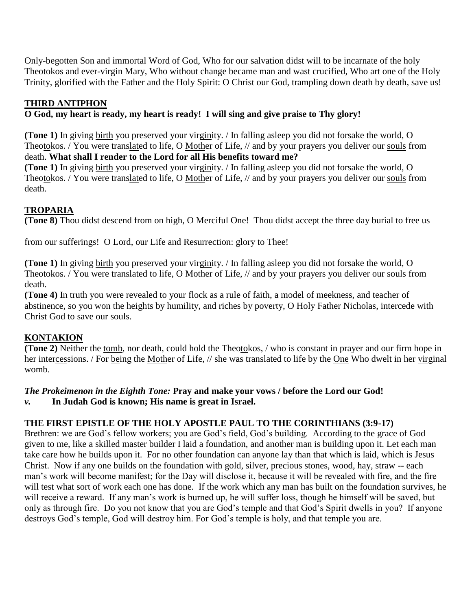Only-begotten Son and immortal Word of God, Who for our salvation didst will to be incarnate of the holy Theotokos and ever-virgin Mary, Who without change became man and wast crucified, Who art one of the Holy Trinity, glorified with the Father and the Holy Spirit: O Christ our God, trampling down death by death, save us!

# **THIRD ANTIPHON**

**O God, my heart is ready, my heart is ready! I will sing and give praise to Thy glory!**

**(Tone 1)** In giving birth you preserved your virginity. / In falling asleep you did not forsake the world, O Theotokos. / You were translated to life, O Mother of Life, // and by your prayers you deliver our souls from death. **What shall I render to the Lord for all His benefits toward me?**

**(Tone 1)** In giving birth you preserved your virginity. / In falling asleep you did not forsake the world, O Theotokos. / You were translated to life, O Mother of Life, // and by your prayers you deliver our souls from death.

# **TROPARIA**

**(Tone 8)** Thou didst descend from on high, O Merciful One! Thou didst accept the three day burial to free us

from our sufferings! O Lord, our Life and Resurrection: glory to Thee!

**(Tone 1)** In giving birth you preserved your virginity. / In falling asleep you did not forsake the world, O Theotokos. / You were translated to life, O Mother of Life, // and by your prayers you deliver our souls from death.

**(Tone 4)** In truth you were revealed to your flock as a rule of faith, a model of meekness, and teacher of abstinence, so you won the heights by humility, and riches by poverty, O Holy Father Nicholas, intercede with Christ God to save our souls.

# **KONTAKION**

**(Tone 2)** Neither the tomb, nor death, could hold the Theotokos, / who is constant in prayer and our firm hope in her intercessions. / For being the Mother of Life, // she was translated to life by the One Who dwelt in her virginal womb.

# *The Prokeimenon in the Eighth Tone:* **Pray and make your vows / before the Lord our God!**

*v.* **In Judah God is known; His name is great in Israel.**

# **THE FIRST EPISTLE OF THE HOLY APOSTLE PAUL TO THE CORINTHIANS (3:9-17)**

Brethren: we are God's fellow workers; you are God's field, God's building. According to the grace of God given to me, like a skilled master builder I laid a foundation, and another man is building upon it. Let each man take care how he builds upon it. For no other foundation can anyone lay than that which is laid, which is Jesus Christ. Now if any one builds on the foundation with gold, silver, precious stones, wood, hay, straw -- each man's work will become manifest; for the Day will disclose it, because it will be revealed with fire, and the fire will test what sort of work each one has done. If the work which any man has built on the foundation survives, he will receive a reward. If any man's work is burned up, he will suffer loss, though he himself will be saved, but only as through fire. Do you not know that you are God's temple and that God's Spirit dwells in you? If anyone destroys God's temple, God will destroy him. For God's temple is holy, and that temple you are.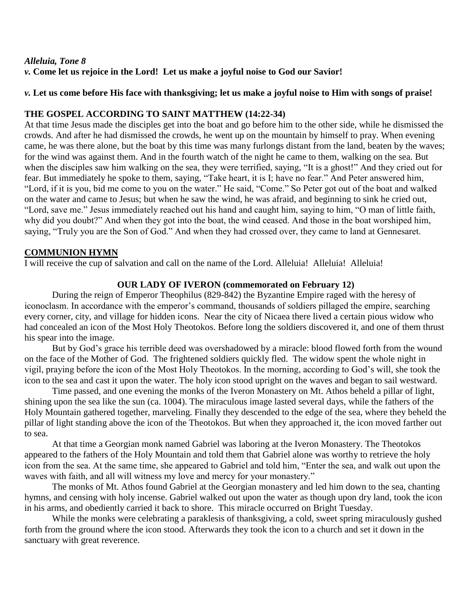#### *Alleluia, Tone 8 v.* **Come let us rejoice in the Lord! Let us make a joyful noise to God our Savior!**

#### *v.* **Let us come before His face with thanksgiving; let us make a joyful noise to Him with songs of praise!**

#### **THE GOSPEL ACCORDING TO SAINT MATTHEW (14:22-34)**

At that time Jesus made the disciples get into the boat and go before him to the other side, while he dismissed the crowds. And after he had dismissed the crowds, he went up on the mountain by himself to pray. When evening came, he was there alone, but the boat by this time was many furlongs distant from the land, beaten by the waves; for the wind was against them. And in the fourth watch of the night he came to them, walking on the sea. But when the disciples saw him walking on the sea, they were terrified, saying, "It is a ghost!" And they cried out for fear. But immediately he spoke to them, saying, "Take heart, it is I; have no fear." And Peter answered him, "Lord, if it is you, bid me come to you on the water." He said, "Come." So Peter got out of the boat and walked on the water and came to Jesus; but when he saw the wind, he was afraid, and beginning to sink he cried out, "Lord, save me." Jesus immediately reached out his hand and caught him, saying to him, "O man of little faith, why did you doubt?" And when they got into the boat, the wind ceased. And those in the boat worshiped him, saying, "Truly you are the Son of God." And when they had crossed over, they came to land at Gennesaret.

#### **COMMUNION HYMN**

I will receive the cup of salvation and call on the name of the Lord. Alleluia! Alleluia! Alleluia!

#### **OUR LADY OF IVERON (commemorated on February 12)**

During the reign of Emperor Theophilus (829-842) the Byzantine Empire raged with the heresy of iconoclasm. In accordance with the emperor's command, thousands of soldiers pillaged the empire, searching every corner, city, and village for hidden icons. Near the city of Nicaea there lived a certain pious widow who had concealed an icon of the Most Holy Theotokos. Before long the soldiers discovered it, and one of them thrust his spear into the image.

But by God's grace his terrible deed was overshadowed by a miracle: blood flowed forth from the wound on the face of the Mother of God. The frightened soldiers quickly fled. The widow spent the whole night in vigil, praying before the icon of the Most Holy Theotokos. In the morning, according to God's will, she took the icon to the sea and cast it upon the water. The holy icon stood upright on the waves and began to sail westward.

Time passed, and one evening the monks of the Iveron Monastery on Mt. Athos beheld a pillar of light, shining upon the sea like the sun (ca. 1004). The miraculous image lasted several days, while the fathers of the Holy Mountain gathered together, marveling. Finally they descended to the edge of the sea, where they beheld the pillar of light standing above the icon of the Theotokos. But when they approached it, the icon moved farther out to sea.

At that time a Georgian monk named Gabriel was laboring at the Iveron Monastery. The Theotokos appeared to the fathers of the Holy Mountain and told them that Gabriel alone was worthy to retrieve the holy icon from the sea. At the same time, she appeared to Gabriel and told him, "Enter the sea, and walk out upon the waves with faith, and all will witness my love and mercy for your monastery."

The monks of Mt. Athos found Gabriel at the Georgian monastery and led him down to the sea, chanting hymns, and censing with holy incense. Gabriel walked out upon the water as though upon dry land, took the icon in his arms, and obediently carried it back to shore. This miracle occurred on Bright Tuesday.

While the monks were celebrating a paraklesis of thanksgiving, a cold, sweet spring miraculously gushed forth from the ground where the icon stood. Afterwards they took the icon to a church and set it down in the sanctuary with great reverence.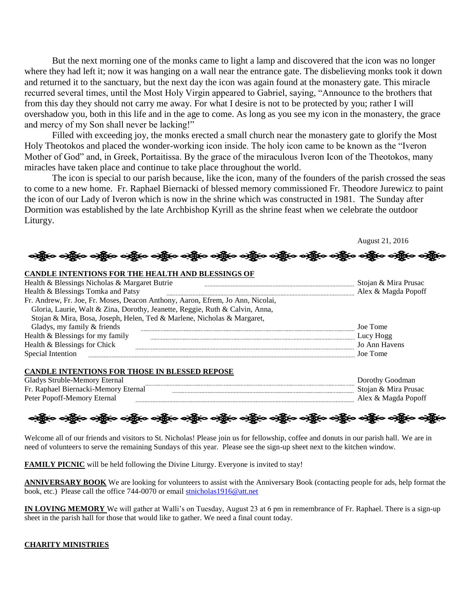But the next morning one of the monks came to light a lamp and discovered that the icon was no longer where they had left it; now it was hanging on a wall near the entrance gate. The disbelieving monks took it down and returned it to the sanctuary, but the next day the icon was again found at the monastery gate. This miracle recurred several times, until the Most Holy Virgin appeared to Gabriel, saying, "Announce to the brothers that from this day they should not carry me away. For what I desire is not to be protected by you; rather I will overshadow you, both in this life and in the age to come. As long as you see my icon in the monastery, the grace and mercy of my Son shall never be lacking!"

Filled with exceeding joy, the monks erected a small church near the monastery gate to glorify the Most Holy Theotokos and placed the wonder-working icon inside. The holy icon came to be known as the "Iveron Mother of God" and, in Greek, Portaitissa. By the grace of the miraculous Iveron Icon of the Theotokos, many miracles have taken place and continue to take place throughout the world.

The icon is special to our parish because, like the icon, many of the founders of the parish crossed the seas to come to a new home. Fr. Raphael Biernacki of blessed memory commissioned Fr. Theodore Jurewicz to paint the icon of our Lady of Iveron which is now in the shrine which was constructed in 1981. The Sunday after Dormition was established by the late Archbishop Kyrill as the shrine feast when we celebrate the outdoor Liturgy.

ခရွို့လ ခရွို့လ ခရွို့လ ခရွို့လ ခရွို့လ ခရွို့လ ခရွို့လ ခရွို့လ ခရွို့လ ခရွို့လ ခရွို့လ ခရွို့လ ခရွို့လ ခရွို့လ

August 21, 2016

#### **CANDLE INTENTIONS FOR THE HEALTH AND BLESSINGS OF**

| Health & Blessings Nicholas & Margaret Butrie                                  | Stojan & Mira Prusac |
|--------------------------------------------------------------------------------|----------------------|
| Health & Blessings Tomka and Patsy                                             | Alex & Magda Popoff  |
| Fr. Andrew, Fr. Joe, Fr. Moses, Deacon Anthony, Aaron, Efrem, Jo Ann, Nicolai, |                      |
| Gloria, Laurie, Walt & Zina, Dorothy, Jeanette, Reggie, Ruth & Calvin, Anna,   |                      |
| Stojan & Mira, Bosa, Joseph, Helen, Ted & Marlene, Nicholas & Margaret,        |                      |
| Gladys, my family & friends                                                    | Joe Tome             |
| Health & Blessings for my family                                               | Lucy Hogg            |
| Health & Blessings for Chick                                                   | Jo Ann Havens        |
| Special Intention                                                              | Joe Tome             |

#### **CANDLE INTENTIONS FOR THOSE IN BLESSED REPOSE**

| Gladys Struble-Memory<br>-Eternal    | ⊟o∩dmar<br>. Joroth  |
|--------------------------------------|----------------------|
| Fr. Raphael Biernacki-Memory Eternal | Stoian & Mira Prusac |
| Peter Popoff-Memory                  | Alex & Magda Ponoff  |

လန္တြိုေလ့ရွိပ္ေလ့ရွိပ္ေပါ့ရွိပ္ေလ့ရွိပ္ေလ့ရွိပ္ေလ့ရွိပ္ေလ့ရွိပ္ေလွ်ာ့ ေရွာ္ေလ့ရွိပ္ေလ့ရွိပ္ေလွ်ာ့ေ

Welcome all of our friends and visitors to St. Nicholas! Please join us for fellowship, coffee and donuts in our parish hall. We are in need of volunteers to serve the remaining Sundays of this year. Please see the sign-up sheet next to the kitchen window.

**FAMILY PICNIC** will be held following the Divine Liturgy. Everyone is invited to stay!

**ANNIVERSARY BOOK** We are looking for volunteers to assist with the Anniversary Book (contacting people for ads, help format the book, etc.) Please call the office 744-0070 or email [stnicholas1916@att.net](mailto:stnicholas1916@att.net)

**IN LOVING MEMORY** We will gather at Walli's on Tuesday, August 23 at 6 pm in remembrance of Fr. Raphael. There is a sign-up sheet in the parish hall for those that would like to gather. We need a final count today.

#### **CHARITY MINISTRIES**